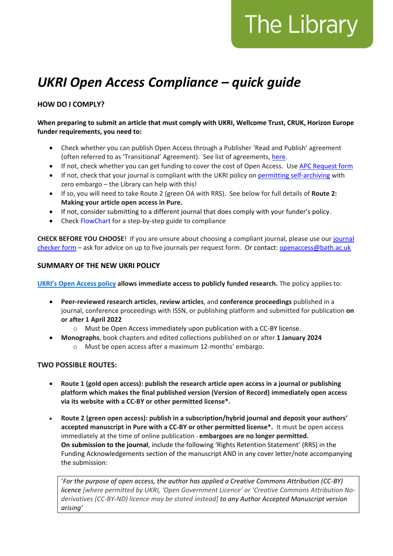# The Library

# *UKRI Open Access Compliance – quick guide*

## **HOW DO I COMPLY?**

#### **When preparing to submit an article that must comply with UKRI, Wellcome Trust, CRUK, Horizon Europe funder requirements, you need to:**

- Check whether you can publish Open Access through a Publisher 'Read and Publish' agreement (often referred to as 'Transitional' Agreement). See list of agreements, [here.](https://library.bath.ac.uk/open-access/publishing-deals)
- If not, check whether you can get funding to cover the cost of Open Access. Use [APC Request form](https://bath.topdesk.net/tas/public/ssp/content/serviceflow?unid=20ab85b018dc46e49106c2daccada965&openedFromService=true)
- If not, check that your journal is compliant with the UKRI policy on [permitting self-archiving](https://v2.sherpa.ac.uk/romeo/search.html) with zero embargo – the Library can help with this!
- If so, you will need to take Route 2 (green OA with RRS). See below for full details of **Route 2: Making your article open access in Pure.**
- If not, consider submitting to a different journal that does comply with your funder's policy.
- Check [FlowChart](https://library.bath.ac.uk/ld.php?content_id=34097465) for a step-by-step guide to compliance

**CHECK BEFORE YOU CHOOSE**! If you are unsure about choosing a compliant journal, please use our [journal](https://bath.topdesk.net/tas/public/ssp/content/serviceflow?unid=cc5af11c8b404d3d826e6dc0133f1d8a)  [checker form](https://bath.topdesk.net/tas/public/ssp/content/serviceflow?unid=cc5af11c8b404d3d826e6dc0133f1d8a) – ask for advice on up to five journals per request form. Or contact: [openaccess@bath.ac.uk](mailto:openaccess@bath.ac.uk)

### **SUMMARY OF THE NEW UKRI POLICY**

**[UKRI's Open Access policy](https://www.ukri.org/wp-content/uploads/2021/08/UKRI-060821-UKRIOpenAccessPolicy-FINAL.pdf) allows immediate access to publicly funded research.** The policy applies to:

- **Peer-reviewed research articles**, **review articles**, and **conference proceedings** published in a journal, conference proceedings with ISSN, or publishing platform and submitted for publication **on or after 1 April 2022**
	- o Must be Open Access immediately upon publication with a CC-BY license.
- **Monographs**, book chapters and edited collections published on or after **1 January 2024** o Must be open access after a maximum 12-months' embargo.

#### **TWO POSSIBLE ROUTES:**

- **Route 1 (gold open access): publish the research article open access in a journal or publishing platform which makes the final published version (Version of Record) immediately open access via its website with a CC-BY or other permitted license\*.**
- **Route 2 (green open access): publish in a subscription/hybrid journal and deposit your authors' accepted manuscript in Pure with a CC-BY or other permitted license\*.** It must be open access immediately at the time of online publication - **embargoes are no longer permitted. On submission to the journal**, include the following 'Rights Retention Statement' (RRS) in the Funding Acknowledgements section of the manuscript AND in any cover letter/note accompanying the submission:

'*For the purpose of open access, the author has applied a Creative Commons Attribution (CC-BY) licence [where permitted by UKRI, 'Open Government Licence' or 'Creative Commons Attribution Noderivatives (CC-BY-ND) licence may be stated instead] to any Author Accepted Manuscript version arising'*